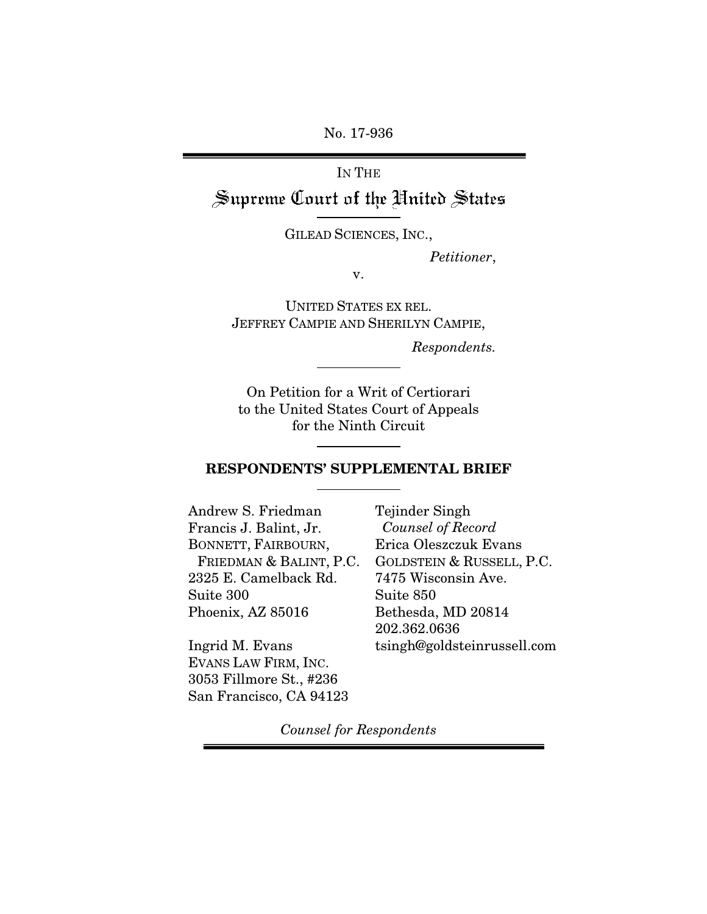No. 17-936

# IN THE Supreme Court of the United States

GILEAD SCIENCES, INC.,

 *Petitioner*,

v.

UNITED STATES EX REL. JEFFREY CAMPIE AND SHERILYN CAMPIE,

*Respondents.* 

On Petition for a Writ of Certiorari to the United States Court of Appeals for the Ninth Circuit

#### RESPONDENTS' SUPPLEMENTAL BRIEF

Andrew S. Friedman Francis J. Balint, Jr. BONNETT, FAIRBOURN, FRIEDMAN & BALINT, P.C. 2325 E. Camelback Rd. Suite 300 Phoenix, AZ 85016

Ingrid M. Evans EVANS LAW FIRM, INC. 3053 Fillmore St., #236 San Francisco, CA 94123 Tejinder Singh *Counsel of Record* Erica Oleszczuk Evans GOLDSTEIN & RUSSELL, P.C. 7475 Wisconsin Ave. Suite 850 Bethesda, MD 20814 202.362.0636 tsingh@goldsteinrussell.com

*Counsel for Respondents*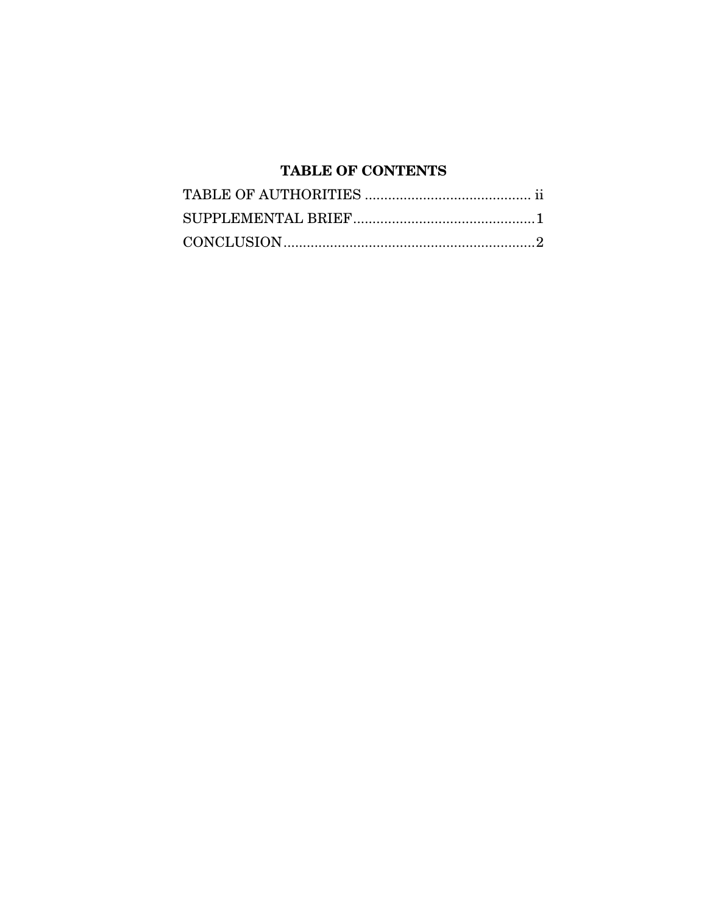# **TABLE OF CONTENTS**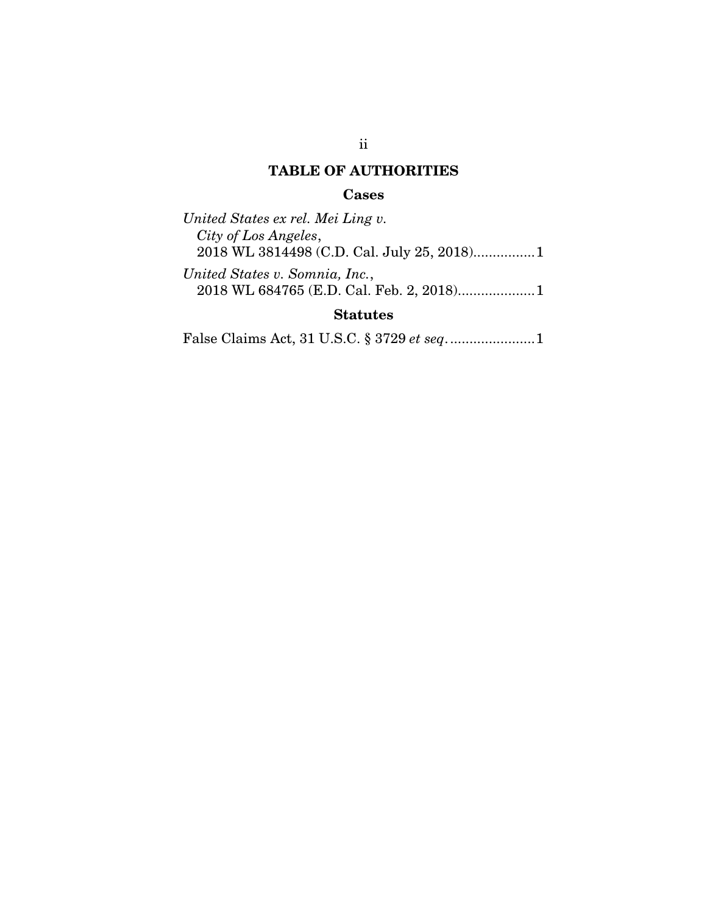# TABLE OF AUTHORITIES

#### Cases

*United States ex rel. Mei Ling v. City of Los Angeles*, 2018 WL 3814498 (C.D. Cal. July 25, 2018)................1

*United States v. Somnia, Inc.*, 2018 WL 684765 (E.D. Cal. Feb. 2, 2018) .................... 1

### Statutes

False Claims Act, 31 U.S.C. § 3729 *et seq*. ...................... 1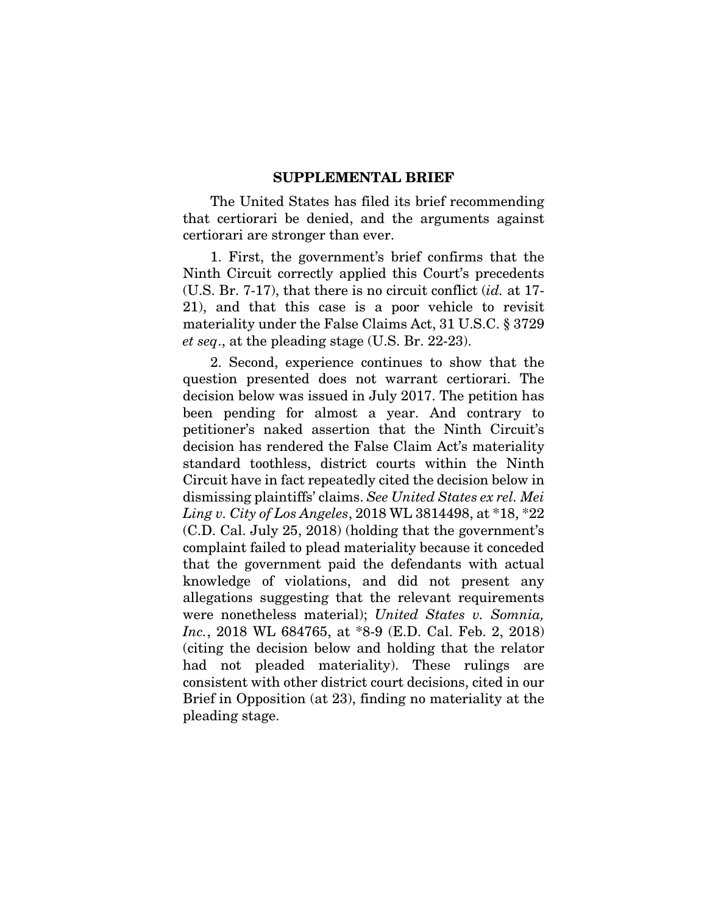#### SUPPLEMENTAL BRIEF

The United States has filed its brief recommending that certiorari be denied, and the arguments against certiorari are stronger than ever.

1. First, the government's brief confirms that the Ninth Circuit correctly applied this Court's precedents (U.S. Br. 7-17), that there is no circuit conflict (*id.* at 17- 21), and that this case is a poor vehicle to revisit materiality under the False Claims Act, 31 U.S.C. § 3729 *et seq*., at the pleading stage (U.S. Br. 22-23).

2. Second, experience continues to show that the question presented does not warrant certiorari. The decision below was issued in July 2017. The petition has been pending for almost a year. And contrary to petitioner's naked assertion that the Ninth Circuit's decision has rendered the False Claim Act's materiality standard toothless, district courts within the Ninth Circuit have in fact repeatedly cited the decision below in dismissing plaintiffs' claims. *See United States ex rel. Mei Ling v. City of Los Angeles*, 2018 WL 3814498, at \*18, \*22 (C.D. Cal. July 25, 2018) (holding that the government's complaint failed to plead materiality because it conceded that the government paid the defendants with actual knowledge of violations, and did not present any allegations suggesting that the relevant requirements were nonetheless material); *United States v. Somnia, Inc.*, 2018 WL 684765, at \*8-9 (E.D. Cal. Feb. 2, 2018) (citing the decision below and holding that the relator had not pleaded materiality). These rulings are consistent with other district court decisions, cited in our Brief in Opposition (at 23), finding no materiality at the pleading stage.